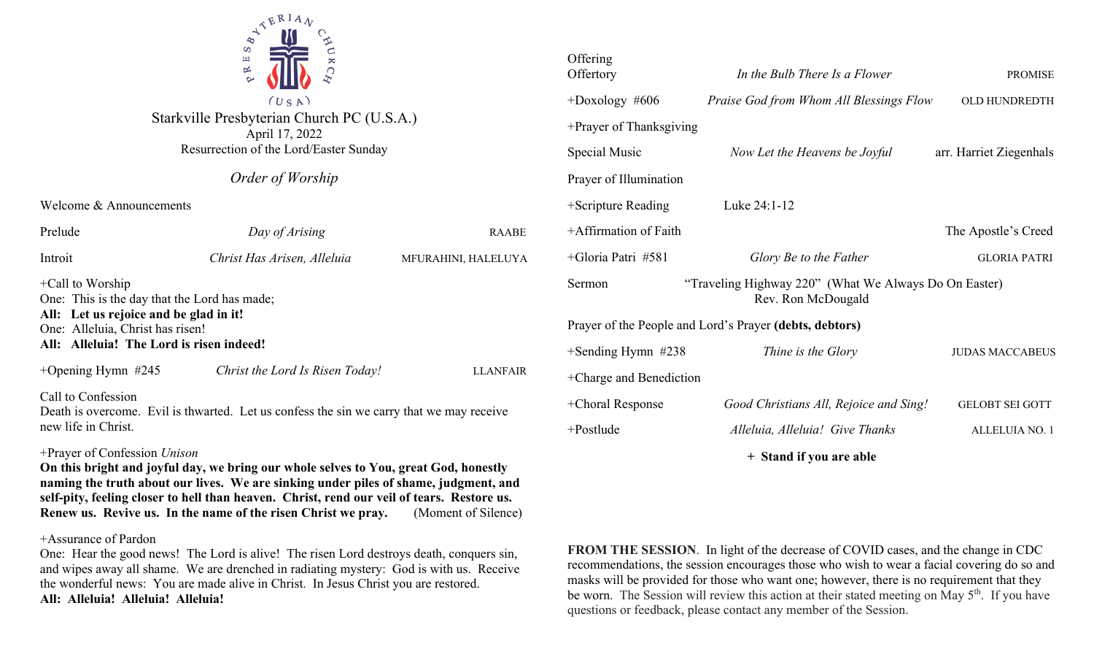

Starkville Presbyterian Church PC (U.S.A.) April 17, 2022 Resurrection of the Lord/Easter Sunday

|  | Order of Worship |
|--|------------------|
|  |                  |

Welcome & Announcements

| Prelude                                                                                                                                                                                       | Day of Arising                  | <b>RAABE</b>        |  |  |
|-----------------------------------------------------------------------------------------------------------------------------------------------------------------------------------------------|---------------------------------|---------------------|--|--|
| Introit                                                                                                                                                                                       | Christ Has Arisen, Alleluia     | MFURAHINI, HALELUYA |  |  |
| $+$ Call to Worship<br>One: This is the day that the Lord has made;<br>All: Let us rejoice and be glad in it!<br>One: Alleluia, Christ has risen!<br>All: Alleluia! The Lord is risen indeed! |                                 |                     |  |  |
| +Opening Hymn $#245$                                                                                                                                                                          | Christ the Lord Is Risen Today! | <b>LLANFAIR</b>     |  |  |
| Call to Confession<br>Death is overcome. Evil is thwarted. Let us confess the sin we carry that we may receive<br>new life in Christ.                                                         |                                 |                     |  |  |

## +Prayer of Confession *Unison*

**On this bright and joyful day, we bring our whole selves to You, great God, honestly naming the truth about our lives. We are sinking under piles of shame, judgment, and self-pity, feeling closer to hell than heaven. Christ, rend our veil of tears. Restore us. Renew us. Revive us. In the name of the risen Christ we pray.** (Moment of Silence)

### +Assurance of Pardon

One: Hear the good news! The Lord is alive! The risen Lord destroys death, conquers sin, and wipes away all shame. We are drenched in radiating mystery: God is with us. Receive the wonderful news: You are made alive in Christ. In Jesus Christ you are restored. **All: Alleluia! Alleluia! Alleluia!**

| Offering<br>Offertory                                                                 | In the Bulb There Is a Flower           | <b>PROMISE</b>          |  |  |
|---------------------------------------------------------------------------------------|-----------------------------------------|-------------------------|--|--|
| $+$ Doxology #606                                                                     | Praise God from Whom All Blessings Flow | OLD HUNDREDTH           |  |  |
| +Prayer of Thanksgiving                                                               |                                         |                         |  |  |
| Special Music                                                                         | Now Let the Heavens be Joyful           | arr. Harriet Ziegenhals |  |  |
| Prayer of Illumination                                                                |                                         |                         |  |  |
| +Scripture Reading                                                                    | Luke 24:1-12                            |                         |  |  |
| +Affirmation of Faith                                                                 |                                         | The Apostle's Creed     |  |  |
| +Gloria Patri #581                                                                    | Glory Be to the Father                  | <b>GLORIA PATRI</b>     |  |  |
| "Traveling Highway 220" (What We Always Do On Easter)<br>Sermon<br>Rev. Ron McDougald |                                         |                         |  |  |
| Prayer of the People and Lord's Prayer (debts, debtors)                               |                                         |                         |  |  |
| $+$ Sending Hymn #238                                                                 | Thine is the Glory                      | <b>JUDAS MACCABEUS</b>  |  |  |
| +Charge and Benediction                                                               |                                         |                         |  |  |
| +Choral Response                                                                      | Good Christians All, Rejoice and Sing!  | <b>GELOBT SEI GOTT</b>  |  |  |
| $+$ Postlude                                                                          | Alleluia, Alleluia! Give Thanks         | ALLELUIA NO. 1          |  |  |
|                                                                                       |                                         |                         |  |  |

**+ Stand if you are able**

**FROM THE SESSION**. In light of the decrease of COVID cases, and the change in CDC recommendations, the session encourages those who wish to wear a facial covering do so and masks will be provided for those who want one; however, there is no requirement that they be worn. The Session will review this action at their stated meeting on May 5<sup>th</sup>. If you have questions or feedback, please contact any member of the Session.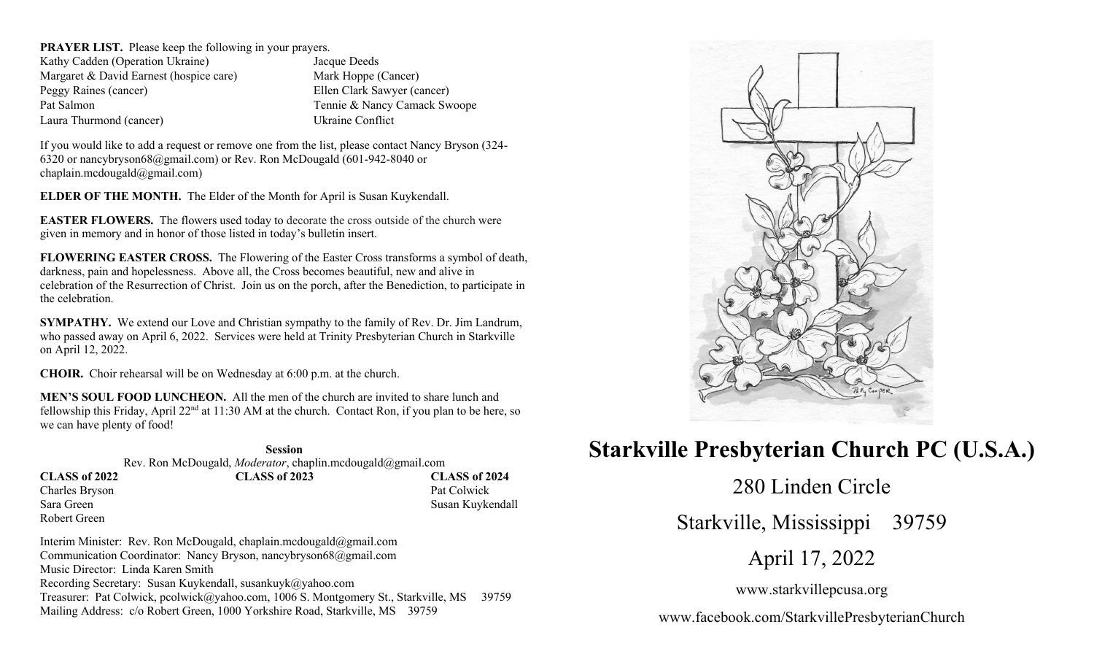**PRAYER LIST.** Please keep the following in your prayers. Kathy Cadden (Operation Ukraine) Jacque Deeds Margaret & David Earnest (hospice care) Mark Hoppe (Cancer) Peggy Raines (cancer) Ellen Clark Sawyer (cancer) Pat Salmon Tennie & Nancy Camack Swoope Laura Thurmond (cancer) Ukraine Conflict

If you would like to add a request or remove one from the list, please contact Nancy Bryson (324- 6320 or nancybryson68@gmail.com) or Rev. Ron McDougald (601-942-8040 or chaplain.mcdougald@gmail.com)

**ELDER OF THE MONTH.** The Elder of the Month for April is Susan Kuykendall.

**EASTER FLOWERS.** The flowers used today to decorate the cross outside of the church were given in memory and in honor of those listed in today's bulletin insert.

**FLOWERING EASTER CROSS.** The Flowering of the Easter Cross transforms a symbol of death, darkness, pain and hopelessness. Above all, the Cross becomes beautiful, new and alive in celebration of the Resurrection of Christ. Join us on the porch, after the Benediction, to participate in the celebration.

**SYMPATHY.** We extend our Love and Christian sympathy to the family of Rev. Dr. Jim Landrum, who passed away on April 6, 2022. Services were held at Trinity Presbyterian Church in Starkville on April 12, 2022.

**CHOIR.** Choir rehearsal will be on Wednesday at 6:00 p.m. at the church.

Robert Green

**MEN'S SOUL FOOD LUNCHEON.** All the men of the church are invited to share lunch and fellowship this Friday, April 22<sup>nd</sup> at 11:30 AM at the church. Contact Ron, if you plan to be here, so we can have plenty of food!

#### **Session**

Rev. Ron McDougald, *Moderator*, chaplin.mcdougald@gmail.com **CLASS of 2022 CLASS of 2023 CLASS of 2024** Charles Bryson Pat Colwick Sara Green Susan Kuykendall

Interim Minister: Rev. Ron McDougald, chaplain.mcdougald@gmail.com Communication Coordinator: Nancy Bryson, nancybryson68@gmail.com Music Director: Linda Karen Smith Recording Secretary: Susan Kuykendall, susankuyk@yahoo.com Treasurer: Pat Colwick, pcolwick@yahoo.com, 1006 S. Montgomery St., Starkville, MS 39759 Mailing Address: c/o Robert Green, 1000 Yorkshire Road, Starkville, MS 39759



# **Starkville Presbyterian Church PC (U.S.A.)**

280 Linden Circle

Starkville, Mississippi 39759

April 17, 2022

www.starkvillepcusa.org

www.facebook.com/StarkvillePresbyterianChurch